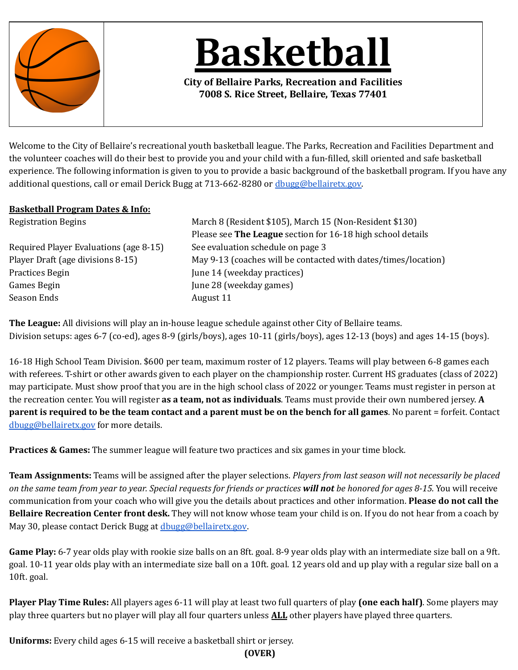

**Basketball**

**City of Bellaire Parks, Recreation and Facilities 7008 S. Rice Street, Bellaire, Texas 77401**

Welcome to the City of Bellaire's recreational youth basketball league. The Parks, Recreation and Facilities Department and the volunteer coaches will do their best to provide you and your child with a fun-illed, skill oriented and safe basketball experience. The following information is given to you to provide a basic background of the basketball program. If you have any additional questions, call or email Derick Bugg at 713-662-8280 or [dbugg@bellairetx.gov.](mailto:dbugg@bellairetx.gov)

## **Basketball Program Dates & Info:**

Required Player Evaluations (age 8-15) See evaluation schedule on page 3 Practices Begin Tune 14 (weekday practices) Games Begin June 28 (weekday games) Season Ends August 11

Registration Begins March 8 (Resident \$105), March 15 (Non-Resident \$130) Please see **The League** section for 16-18 high school details Player Draft (age divisions 8-15) May 9-13 (coaches will be contacted with dates/times/location)

**The League:** All divisions will play an in-house league schedule against other City of Bellaire teams. Division setups: ages 6-7 (co-ed), ages 8-9 (girls/boys), ages 10-11 (girls/boys), ages 12-13 (boys) and ages 14-15 (boys).

16-18 High School Team Division. \$600 per team, maximum roster of 12 players. Teams will play between 6-8 games each with referees. T-shirt or other awards given to each player on the championship roster. Current HS graduates (class of 2022) may participate. Must show proof that you are in the high school class of 2022 or younger. Teams must register in person at the recreation center. You will register **as a team, not as individuals**. Teams must provide their own numbered jersey. **A** parent is required to be the team contact and a parent must be on the bench for all games. No parent = forfeit. Contact [dbugg@bellairetx.gov](mailto:dbugg@bellairetx.gov) for more details.

**Practices & Games:** The summer league will feature two practices and six games in your time block.

**Team Assignments:** Teams will be assigned after the player selections. *Players from last season will not necessarily be placed* on the same team from year to year. Special requests for friends or practices will not be honored for ages 8-15. You will receive communication from your coach who will give you the details about practices and other information. **Please do not call the Bellaire Recreation Center front desk.** They will not know whose team your child is on. If you do not hear from a coach by May 30, please contact Derick Bugg at [dbugg@bellairetx.gov](mailto:dbugg@bellairetx.gov).

**Game Play:** 6-7 year olds play with rookie size balls on an 8ft. goal. 8-9 year olds play with an intermediate size ball on a 9ft. goal. 10-11 year olds play with an intermediate size ball on a 10ft. goal. 12 years old and up play with a regular size ball on a 10ft. goal.

**Player Play Time Rules:** All players ages 6-11 will play at least two full quarters of play **(one each half)**. Some players may play three quarters but no player will play all four quarters unless **ALL** other players have played three quarters.

**Uniforms:** Every child ages 6-15 will receive a basketball shirt or jersey.

**(OVER)**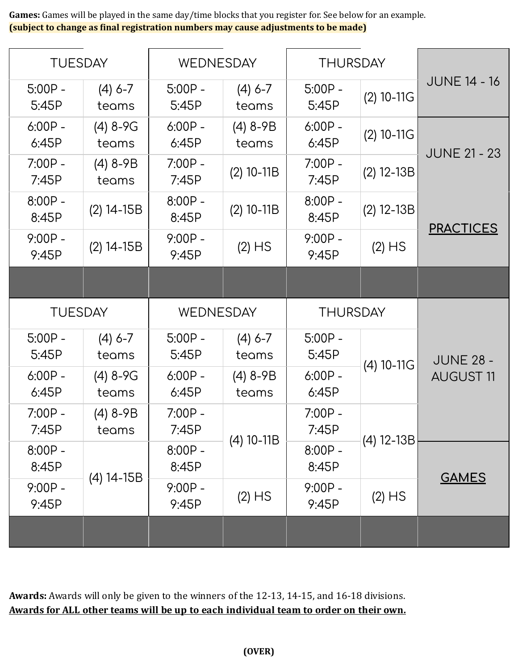**Games:** Games will be played in the same day/time blocks that you register for. See below for an example. **(subject to change as inal registration numbers may cause adjustments to be made)**

| <b>TUESDAY</b>     |                     | WEDNESDAY          |                     | <b>THURSDAY</b>    |              |                                      |
|--------------------|---------------------|--------------------|---------------------|--------------------|--------------|--------------------------------------|
| $5:00P -$<br>5:45P | $(4)$ 6-7<br>teams  | $5:00P -$<br>5:45P | $(4)$ 6-7<br>teams  | $5:00P -$<br>5:45P | $(2)$ 10-11G | <b>JUNE 14 - 16</b>                  |
| $6:00P -$<br>6:45P | $(4)$ 8-9G<br>teams | $6:00P -$<br>6:45P | $(4)$ 8-9B<br>teams | $6:00P -$<br>6:45P | $(2)$ 10-11G | <b>JUNE 21 - 23</b>                  |
| $7:00P -$<br>7:45P | $(4) 8-9B$<br>teams | $7:00P -$<br>7:45P | $(2)$ 10-11B        | $7:00P -$<br>7:45P | $(2)$ 12-13B |                                      |
| $8:00P -$<br>8:45P | $(2)$ 14-15B        | $8:00P -$<br>8:45P | $(2)$ 10-11B        | $8:00P -$<br>8:45P | $(2)$ 12-13B |                                      |
| $9:00P -$<br>9:45P | $(2)$ 14-15B        | $9:00P -$<br>9:45P | $(2)$ HS            | $9:00P -$<br>9:45P | $(2)$ HS     | <b>PRACTICES</b>                     |
|                    |                     |                    |                     |                    |              |                                      |
| <b>TUESDAY</b>     |                     |                    |                     |                    |              |                                      |
|                    |                     | <b>WEDNESDAY</b>   |                     | <b>THURSDAY</b>    |              |                                      |
| $5:00P -$<br>5:45P | $(4)$ 6-7<br>teams  | $5:00P -$<br>5:45P | $(4)$ 6-7<br>teams  | $5:00P -$<br>5:45P |              |                                      |
| $6:00P -$<br>6:45P | $(4)$ 8-9G<br>teams | $6:00P -$<br>6:45P | $(4)$ 8-9B<br>teams | $6:00P -$<br>6:45P | $(4)$ 10-11G | <b>JUNE 28 -</b><br><b>AUGUST 11</b> |
| $7:00P -$<br>7:45P | $(4)$ 8-9B<br>teams | $7:00P -$<br>7:45P |                     | $7:00P -$<br>7:45P |              |                                      |
| $8:00P -$<br>8:45P |                     | $8:00P -$<br>8:45P | $(4)$ 10-11B        | $8:00P -$<br>8:45P | $(4)$ 12-13B |                                      |
| $9:00P -$<br>9:45P | $(4)$ 14-15B        | $9:00P -$<br>9:45P | $(2)$ HS            | $9:00P -$<br>9:45P | $(2)$ HS     | <b>GAMES</b>                         |

**Awards:** Awards will only be given to the winners of the 12-13, 14-15, and 16-18 divisions. **Awards for ALL other teams will be up to each individual team to order on their own.**

**(OVER)**